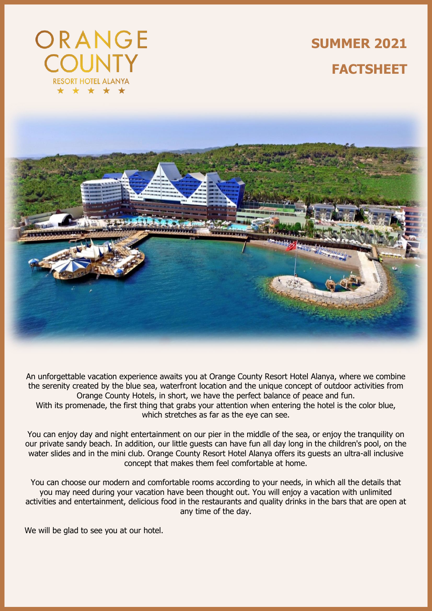

**SUMMER 2021 FACTSHEET**



An unforgettable vacation experience awaits you at Orange County Resort Hotel Alanya, where we combine the serenity created by the blue sea, waterfront location and the unique concept of outdoor activities from Orange County Hotels, in short, we have the perfect balance of peace and fun. With its promenade, the first thing that grabs your attention when entering the hotel is the color blue, which stretches as far as the eye can see.

You can enjoy day and night entertainment on our pier in the middle of the sea, or enjoy the tranquility on our private sandy beach. In addition, our little guests can have fun all day long in the children's pool, on the water slides and in the mini club. Orange County Resort Hotel Alanya offers its guests an ultra-all inclusive concept that makes them feel comfortable at home.

You can choose our modern and comfortable rooms according to your needs, in which all the details that you may need during your vacation have been thought out. You will enjoy a vacation with unlimited activities and entertainment, delicious food in the restaurants and quality drinks in the bars that are open at any time of the day.

We will be glad to see you at our hotel.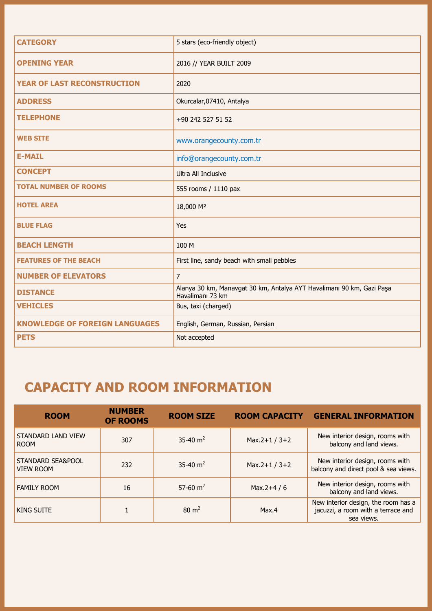| <b>CATEGORY</b>                       | 5 stars (eco-friendly object)                                                             |
|---------------------------------------|-------------------------------------------------------------------------------------------|
| <b>OPENING YEAR</b>                   | 2016 // YEAR BUILT 2009                                                                   |
| <b>YEAR OF LAST RECONSTRUCTION</b>    | 2020                                                                                      |
| <b>ADDRESS</b>                        | Okurcalar, 07410, Antalya                                                                 |
| <b>TELEPHONE</b>                      | +90 242 527 51 52                                                                         |
| <b>WEB SITE</b>                       | www.orangecounty.com.tr                                                                   |
| <b>E-MAIL</b>                         | info@orangecounty.com.tr                                                                  |
| <b>CONCEPT</b>                        | <b>Ultra All Inclusive</b>                                                                |
| <b>TOTAL NUMBER OF ROOMS</b>          | 555 rooms / 1110 pax                                                                      |
| <b>HOTEL AREA</b>                     | 18,000 M <sup>2</sup>                                                                     |
| <b>BLUE FLAG</b>                      | Yes                                                                                       |
| <b>BEACH LENGTH</b>                   | 100 M                                                                                     |
| <b>FEATURES OF THE BEACH</b>          | First line, sandy beach with small pebbles                                                |
| <b>NUMBER OF ELEVATORS</b>            | $\overline{7}$                                                                            |
| <b>DISTANCE</b>                       | Alanya 30 km, Manavgat 30 km, Antalya AYT Havalimanı 90 km, Gazi Paşa<br>Havalimanı 73 km |
| <b>VEHICLES</b>                       | Bus, taxi (charged)                                                                       |
| <b>KNOWLEDGE OF FOREIGN LANGUAGES</b> | English, German, Russian, Persian                                                         |
| <b>PETS</b>                           | Not accepted                                                                              |

## **CAPACITY AND ROOM INFORMATION**

| <b>ROOM</b>                           | <b>NUMBER</b><br><b>OF ROOMS</b> | <b>ROOM SIZE</b> | <b>ROOM CAPACITY</b> | <b>GENERAL INFORMATION</b>                                                              |
|---------------------------------------|----------------------------------|------------------|----------------------|-----------------------------------------------------------------------------------------|
| STANDARD LAND VIEW<br><b>ROOM</b>     | 307                              | 35-40 $m2$       | Max.2+1 / $3+2$      | New interior design, rooms with<br>balcony and land views.                              |
| STANDARD SEA&POOL<br><b>VIEW ROOM</b> | 232                              | 35-40 $m2$       | Max.2+1 / $3+2$      | New interior design, rooms with<br>balcony and direct pool & sea views.                 |
| <b>FAMILY ROOM</b>                    | 16                               | 57-60 $m2$       | Max.2+4 / 6          | New interior design, rooms with<br>balcony and land views.                              |
| KING SUITE                            |                                  | $80 \text{ m}^2$ | Max.4                | New interior design, the room has a<br>jacuzzi, a room with a terrace and<br>sea views. |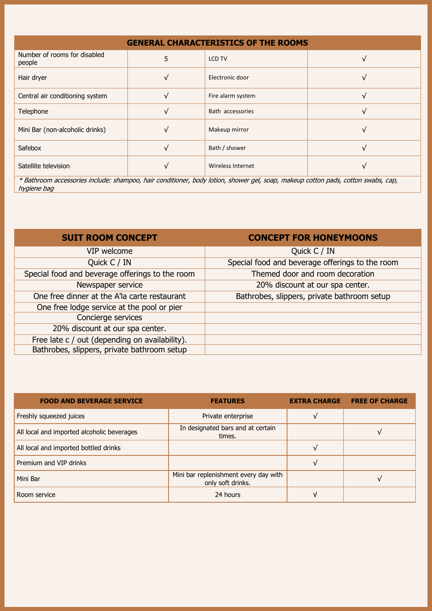| <b>GENERAL CHARACTERISTICS OF THE ROOMS</b>                                                                                        |            |                   |  |  |  |
|------------------------------------------------------------------------------------------------------------------------------------|------------|-------------------|--|--|--|
| Number of rooms for disabled<br>people                                                                                             | 5          | <b>LCD TV</b>     |  |  |  |
| Hair dryer                                                                                                                         |            | Electronic door   |  |  |  |
| Central air conditioning system                                                                                                    |            | Fire alarm system |  |  |  |
| Telephone                                                                                                                          | $\sqrt{}$  | Bath accessories  |  |  |  |
| Mini Bar (non-alcoholic drinks)                                                                                                    |            | Makeup mirror     |  |  |  |
| Safebox                                                                                                                            | $\sqrt{ }$ | Bath / shower     |  |  |  |
| Satellite television                                                                                                               |            | Wireless Internet |  |  |  |
| $*$ Pathroom accoccarios includes champeo, bair conditioner, body lotion, chauser and coan, makeup cotton pads, cotton surabs, san |            |                   |  |  |  |

\* Bathroom accessories include: shampoo, hair conditioner, body lotion, shower gel, soap, makeup cotton pads, cotton swabs, cap, hygiene bag

| <b>SUIT ROOM CONCEPT</b>                        | <b>CONCEPT FOR HONEYMOONS</b>                   |
|-------------------------------------------------|-------------------------------------------------|
| VIP welcome                                     | Quick C / IN                                    |
| Quick C / IN                                    | Special food and beverage offerings to the room |
| Special food and beverage offerings to the room | Themed door and room decoration                 |
| Newspaper service                               | 20% discount at our spa center.                 |
| One free dinner at the A'la carte restaurant    | Bathrobes, slippers, private bathroom setup     |
| One free lodge service at the pool or pier      |                                                 |
| Concierge services                              |                                                 |
| 20% discount at our spa center.                 |                                                 |
| Free late c / out (depending on availability).  |                                                 |
| Bathrobes, slippers, private bathroom setup     |                                                 |

| <b>FOOD AND BEVERAGE SERVICE</b>           | <b>FEATURES</b>                                            | <b>EXTRA CHARGE</b> | <b>FREE OF CHARGE</b> |
|--------------------------------------------|------------------------------------------------------------|---------------------|-----------------------|
| Freshly squeezed juices                    | Private enterprise                                         |                     |                       |
| All local and imported alcoholic beverages | In designated bars and at certain<br>times.                |                     |                       |
| All local and imported bottled drinks      |                                                            |                     |                       |
| Premium and VIP drinks                     |                                                            |                     |                       |
| Mini Bar                                   | Mini bar replenishment every day with<br>only soft drinks. |                     |                       |
| Room service                               | 24 hours                                                   | ν                   |                       |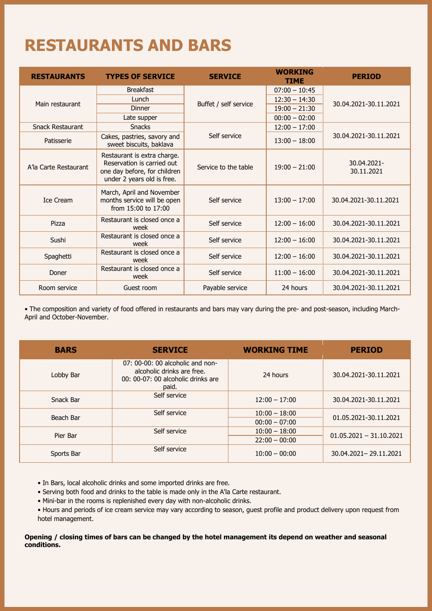# **RESTAURANTS AND BARS**

| <b>RESTAURANTS</b>      | <b>TYPES OF SERVICE</b>                                                                                                 | <b>SERVICE</b>        | <b>WORKING</b><br>TIME | <b>PERIOD</b>             |
|-------------------------|-------------------------------------------------------------------------------------------------------------------------|-----------------------|------------------------|---------------------------|
|                         | <b>Breakfast</b>                                                                                                        |                       | $07:00 - 10:45$        |                           |
| Main restaurant         | Lunch                                                                                                                   | Buffet / self service | $12:30 - 14:30$        | 30.04.2021-30.11.2021     |
|                         | Dinner                                                                                                                  |                       | $19:00 - 21:30$        |                           |
|                         | Late supper                                                                                                             |                       | $00:00 - 02:00$        |                           |
| <b>Snack Restaurant</b> | <b>Snacks</b>                                                                                                           |                       | $12:00 - 17:00$        |                           |
| Patisserie              | Cakes, pastries, savory and<br>sweet biscuits, baklava                                                                  | Self service          | $13:00 - 18:00$        | 30.04.2021-30.11.2021     |
| A'la Carte Restaurant   | Restaurant is extra charge.<br>Reservation is carried out<br>one day before, for children<br>under 2 years old is free. | Service to the table  | $19:00 - 21:00$        | 30.04.2021-<br>30.11.2021 |
| <b>Ice Cream</b>        | March, April and November<br>months service will be open<br>from $15:00$ to $17:00$                                     | Self service          | $13:00 - 17:00$        | 30.04.2021-30.11.2021     |
| Pizza                   | Restaurant is closed once a<br>week                                                                                     | Self service          | $12:00 - 16:00$        | 30.04.2021-30.11.2021     |
| Sushi                   | Restaurant is closed once a<br>week                                                                                     | Self service          | $12:00 - 16:00$        | 30.04.2021-30.11.2021     |
| Spaghetti               | Restaurant is closed once a<br>week                                                                                     | Self service          | $12:00 - 16:00$        | 30.04.2021-30.11.2021     |
| Doner                   | Restaurant is closed once a<br>week                                                                                     | Self service          | $11:00 - 16:00$        | 30.04.2021-30.11.2021     |
| Room service            | Guest room                                                                                                              | Payable service       | 24 hours               | 30.04.2021-30.11.2021     |

• The composition and variety of food offered in restaurants and bars may vary during the pre- and post-season, including March-April and October-November.

| <b>BARS</b> | <b>SERVICE</b>                                                                                                | <b>WORKING TIME</b> | <b>PERIOD</b>             |
|-------------|---------------------------------------------------------------------------------------------------------------|---------------------|---------------------------|
| Lobby Bar   | 07: 00-00: 00 alcoholic and non-<br>alcoholic drinks are free.<br>00: 00-07: 00 alcoholic drinks are<br>paid. | 24 hours            | 30.04.2021-30.11.2021     |
| Snack Bar   | Self service                                                                                                  | $12:00 - 17:00$     | 30.04.2021-30.11.2021     |
| Beach Bar   | Self service                                                                                                  | $10:00 - 18:00$     | 01.05.2021-30.11.2021     |
|             |                                                                                                               | $00:00 - 07:00$     |                           |
| Pier Bar    | Self service                                                                                                  | $10:00 - 18:00$     | $01.05.2021 - 31.10.2021$ |
|             |                                                                                                               | $22:00 - 00:00$     |                           |
| Sports Bar  | Self service                                                                                                  | $10:00 - 00:00$     | 30.04.2021-29.11.2021     |

• In Bars, local alcoholic drinks and some imported drinks are free.

- Serving both food and drinks to the table is made only in the A'la Carte restaurant.
- Mini-bar in the rooms is replenished every day with non-alcoholic drinks.
- Hours and periods of ice cream service may vary according to season, guest profile and product delivery upon request from hotel management.

#### **Opening / closing times of bars can be changed by the hotel management its depend on weather and seasonal conditions.**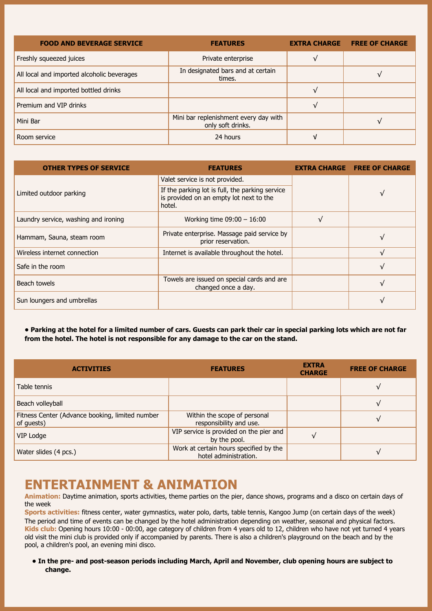| <b>FOOD AND BEVERAGE SERVICE</b>           | <b>FEATURES</b>                                            | <b>EXTRA CHARGE</b> | <b>FREE OF CHARGE</b> |
|--------------------------------------------|------------------------------------------------------------|---------------------|-----------------------|
| Freshly squeezed juices                    | Private enterprise                                         |                     |                       |
| All local and imported alcoholic beverages | In designated bars and at certain<br>times.                |                     |                       |
| All local and imported bottled drinks      |                                                            |                     |                       |
| Premium and VIP drinks                     |                                                            |                     |                       |
| Mini Bar                                   | Mini bar replenishment every day with<br>only soft drinks. |                     |                       |
| Room service                               | 24 hours                                                   |                     |                       |

| <b>OTHER TYPES OF SERVICE</b>        | <b>FEATURES</b>                                                                                      | <b>EXTRA CHARGE FREE OF CHARGE</b> |
|--------------------------------------|------------------------------------------------------------------------------------------------------|------------------------------------|
|                                      | Valet service is not provided.                                                                       |                                    |
| Limited outdoor parking              | If the parking lot is full, the parking service<br>is provided on an empty lot next to the<br>hotel. | √                                  |
| Laundry service, washing and ironing | Working time $09:00 - 16:00$                                                                         |                                    |
| Hammam, Sauna, steam room            | Private enterprise. Massage paid service by<br>prior reservation.                                    | $\mathbf{v}$                       |
| Wireless internet connection         | Internet is available throughout the hotel.                                                          | $\mathcal{U}$                      |
| Safe in the room                     |                                                                                                      | $\mathbf{v}$                       |
| Beach towels                         | Towels are issued on special cards and are<br>changed once a day.                                    | J/                                 |
| Sun loungers and umbrellas           |                                                                                                      | $\mathbf{v}$                       |

**• Parking at the hotel for a limited number of cars. Guests can park their car in special parking lots which are not far from the hotel. The hotel is not responsible for any damage to the car on the stand.**

| <b>ACTIVITIES</b>                                             | <b>FEATURES</b>                                                 | <b>EXTRA</b><br><b>CHARGE</b> | <b>FREE OF CHARGE</b> |
|---------------------------------------------------------------|-----------------------------------------------------------------|-------------------------------|-----------------------|
| Table tennis                                                  |                                                                 |                               |                       |
| Beach volleyball                                              |                                                                 |                               | J/                    |
| Fitness Center (Advance booking, limited number<br>of guests) | Within the scope of personal<br>responsibility and use.         |                               | √                     |
| VIP Lodge                                                     | VIP service is provided on the pier and<br>by the pool.         |                               |                       |
| Water slides (4 pcs.)                                         | Work at certain hours specified by the<br>hotel administration. |                               | V                     |

#### **ENTERTAINMENT & ANIMATION**

**Animation:** Daytime animation, sports activities, theme parties on the pier, dance shows, programs and a disco on certain days of the week

**Sports activities:** fitness center, water gymnastics, water polo, darts, table tennis, Kangoo Jump (on certain days of the week) The period and time of events can be changed by the hotel administration depending on weather, seasonal and physical factors. **Kids club:** Opening hours 10:00 - 00:00, age category of children from 4 years old to 12, children who have not yet turned 4 years old visit the mini club is provided only if accompanied by parents. There is also a children's playground on the beach and by the pool, a children's pool, an evening mini disco.

**• In the pre- and post-season periods including March, April and November, club opening hours are subject to change.**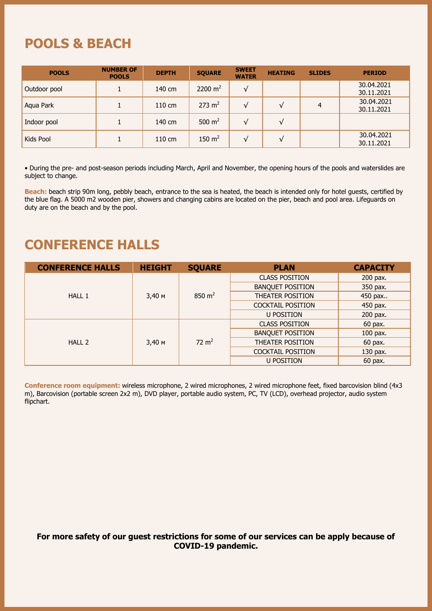### **POOLS & BEACH**

| <b>POOLS</b> | <b>NUMBER OF</b><br><b>POOLS</b> | <b>DEPTH</b> | <b>SQUARE</b>     | <b>SWEET</b><br><b>WATER</b> | <b>HEATING</b> | <b>SLIDES</b> | <b>PERIOD</b>            |
|--------------|----------------------------------|--------------|-------------------|------------------------------|----------------|---------------|--------------------------|
| Outdoor pool |                                  | 140 cm       | 2200 $m2$         | V                            |                |               | 30.04.2021<br>30.11.2021 |
| Aqua Park    |                                  | 110 cm       | $273 \text{ m}^2$ |                              | √              | 4             | 30.04.2021<br>30.11.2021 |
| Indoor pool  |                                  | 140 cm       | 500 $m2$          | V                            | $\sqrt{}$      |               |                          |
| Kids Pool    |                                  | 110 cm       | 150 $m2$          | ٦.                           | √              |               | 30.04.2021<br>30.11.2021 |

• During the pre- and post-season periods including March, April and November, the opening hours of the pools and waterslides are subject to change.

Beach: beach strip 90m long, pebbly beach, entrance to the sea is heated, the beach is intended only for hotel guests, certified by the blue flag. A 5000 m2 wooden pier, showers and changing cabins are located on the pier, beach and pool area. Lifeguards on duty are on the beach and by the pool.

### **CONFERENCE HALLS**

| <b>CONFERENCE HALLS</b> | <b>HEIGHT</b> | <b>SQUARE</b>    | <b>PLAN</b>              | <b>CAPACITY</b> |
|-------------------------|---------------|------------------|--------------------------|-----------------|
|                         |               |                  | <b>CLASS POSITION</b>    | 200 pax.        |
|                         |               |                  | <b>BANQUET POSITION</b>  | 350 pax.        |
| HALL 1                  | $3,40$ M      | 850 $m2$         | THEATER POSITION         | 450 pax         |
|                         |               |                  | <b>COCKTAIL POSITION</b> | 450 pax.        |
|                         |               |                  | <b>U POSITION</b>        | 200 pax.        |
| HALL 2                  | $3,40$ M      | $72 \text{ m}^2$ | <b>CLASS POSITION</b>    | 60 pax.         |
|                         |               |                  | <b>BANQUET POSITION</b>  | 100 pax.        |
|                         |               |                  | <b>THEATER POSITION</b>  | 60 pax.         |
|                         |               |                  | <b>COCKTAIL POSITION</b> | 130 pax.        |
|                         |               |                  | <b>U POSITION</b>        | 60 pax.         |

**Conference room equipment:** wireless microphone, 2 wired microphones, 2 wired microphone feet, fixed barcovision blind (4x3 m), Barcovision (portable screen 2x2 m), DVD player, portable audio system, PC, TV (LCD), overhead projector, audio system flipchart.

#### **For more safety of our guest restrictions for some of our services can be apply because of COVID-19 pandemic.**